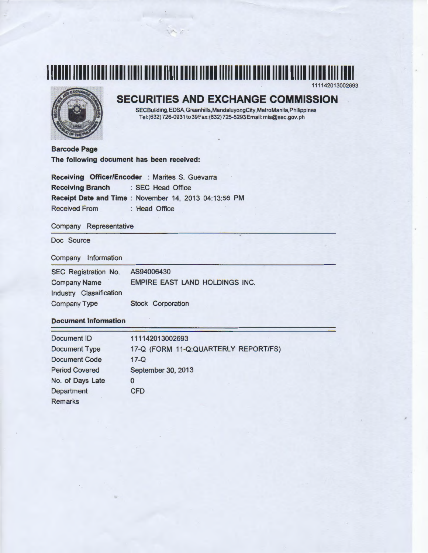



# **SECURITIES AND EXCHANGE COMMISSION**

SECBuilding,EDSA,Greenhills,MandaluyongCity,MetroManila,Philippines Tel:(632) 726-0931 to39Fax:(632) 725-5293Email: mis@sec.gov.ph

**Barcode Page The following document has been received:** 

|                         | Receiving Officer/Encoder : Marites S. Guevarra       |  |
|-------------------------|-------------------------------------------------------|--|
| <b>Receiving Branch</b> | : SEC Head Office                                     |  |
|                         | Receipt Date and Time : November 14, 2013 04:13:56 PM |  |
| <b>Received From</b>    | : Head Office                                         |  |

### Company Representative

Doc Source

### Company Information

| SEC Registration No.    | AS94006430                     |
|-------------------------|--------------------------------|
| <b>Company Name</b>     | EMPIRE EAST LAND HOLDINGS INC. |
| Industry Classification |                                |
| <b>Company Type</b>     | <b>Stock Corporation</b>       |

### **Document Information**

| Document ID           | 111142013002693                      |
|-----------------------|--------------------------------------|
| <b>Document Type</b>  | 17-Q (FORM 11-Q:QUARTERLY REPORT/FS) |
| <b>Document Code</b>  | $17 - Q$                             |
| <b>Period Covered</b> | September 30, 2013                   |
| No. of Days Late      | 0                                    |
| Department            | <b>CFD</b>                           |
| <b>Remarks</b>        |                                      |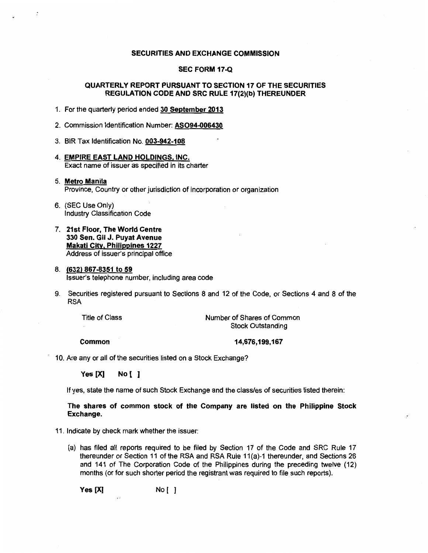### SECURITIES AND EXCHANGE COMMISSION

### SEC FORM 17-Q

### QUARTERLY REPORT PURSUANT TO SECTION 17 OF THE SECURITIES REGULATION CODE AND SRC RULE 17(2)(b) THEREUNDER

1. For the quarterly period ended 30 September 2013

2. Commission Identification Number: AS094-006430

3. BIR Tax Identification No. 003-942-108

- 4. EMPIRE EAST LAND HOLDINGS, INC. Exact name of issuer as specified in its charter
- 5. Metro Manila Province, Country or other jurisdiction of incorporation or organization
- 6. (SEC Use Only} Industry Classification Code
- 7. 21st Floor, The World Centre 330 Sen. Gil J. Puyat Avenue Makati City, Philippines 1227 Address of issuer's principal office

#### 8. (632) 867-8351 to 59 Issuer's telephone number, including area code

9. Securities registered pursuant to Sections 8 and 12 of the Code, or Sections 4 and 8 of the RSA

Title of Class

Number of Shares of Common Stock Outstanding

Common

14,676,199,167

10. Are any or all of the securities listed on a Stock Exchange?

Yes [X] No [ ]

If yes, state the name of such Stock Exchange and the class/es of securities listed therein:

The shares of common stock of the Company are listed on the Philippine Stock Exchange.

11. Indicate by check mark whether the issuer:

(a) has filed all reports required to be filed by Section 17 of the Code and SRC Rule 17 thereunder or Section 11 of the RSA and RSA Rule 11(a)-1 thereunder, and Sections 26 and 141 of The Corporation Code of the Philippines during the preceding twelve (12) months (or for such shorter period the registrant was required to file such reports).

Yes [X] No [ )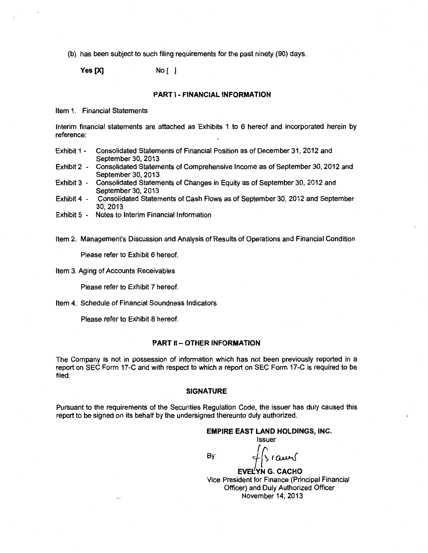(b) has been subject to such filing requirements for the past ninety (90) days.

**Yes [X]** No [ ]

#### **PART 1- FINANCIAL INFORMATION**

Item 1. Financial Statements

Interim financial statements are attached as Exhibits 1 to 6 hereof and incorporated herein by reference:

- Exhibit 1 Consolidated Statements of Financial Position as of December 31, 2012 and September 30, 2013
- Exhibit 2 Consolidated Statements of Comprehensive Income as of September 30, 2012 and September 30, 2013
- Exhibit 3 Consolidated Statements of Changes in Equity as of September 30, 2012 and September 30, 2013
- Exhibit 4 Consolidated Statements of Cash Flows as of September 30, 2012 and September 30,2013
- Exhibit 5 Notes to Interim Financial Information

Item 2. Management's Discussion and Analysis of Results of Operations and Financial Condition

Please refer to Exhibit 6 hereof.

Item 3. Aging of Accounts Receivables

Please refer to Exhibit 7 hereof.

Item 4. Schedule of Financial Soundness Indicators

Please refer to Exhibit 8 hereof.

### **PART II- OTHER INFORMATION**

The Company is not in possession of information which has not been previously reported in a report on SEC Form 17-C and with respect to which a report on SEC Form 17-C is required to be filed.

### **SIGNATURE**

Pursuant to the requirements of the Securities Regulation Code, the issuer has duly caused this report to be signed on its behalf by the undersigned thereunto duly authorized.

### **EMPIRE EAST LAND HOLDINGS, INC.**

Issuer

 $\overline{\phantom{a}}$ 

**EVELYN G. CACHO** 

Vice President for Finance (Principal Financial Officer) and Duly Authorized Officer November 14, 2013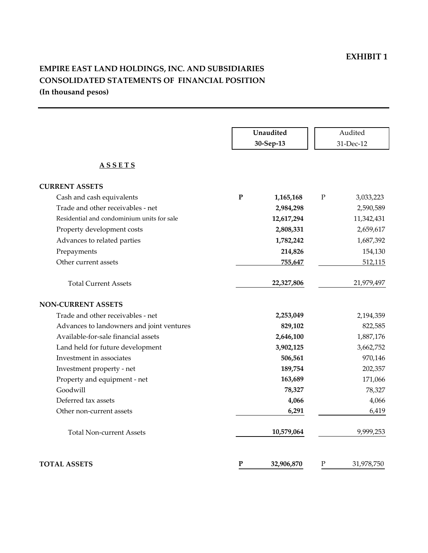# **EMPIRE EAST LAND HOLDINGS, INC. AND SUBSIDIARIES CONSOLIDATED STATEMENTS OF FINANCIAL POSITION (In thousand pesos)**

|                                            | Unaudited                 | Audited                  |
|--------------------------------------------|---------------------------|--------------------------|
|                                            | 30-Sep-13                 | 31-Dec-12                |
|                                            |                           |                          |
| <u>ASSETS</u>                              |                           |                          |
|                                            |                           |                          |
| <b>CURRENT ASSETS</b>                      |                           |                          |
| Cash and cash equivalents                  | $\mathbf{P}$<br>1,165,168 | $\mathbf P$<br>3,033,223 |
| Trade and other receivables - net          | 2,984,298                 | 2,590,589                |
| Residential and condominium units for sale | 12,617,294                | 11,342,431               |
| Property development costs                 | 2,808,331                 | 2,659,617                |
| Advances to related parties                | 1,782,242                 | 1,687,392                |
| Prepayments                                | 214,826                   | 154,130                  |
| Other current assets                       | 755,647                   | 512,115                  |
|                                            |                           |                          |
| <b>Total Current Assets</b>                | 22,327,806                | 21,979,497               |
|                                            |                           |                          |
| <b>NON-CURRENT ASSETS</b>                  |                           |                          |
| Trade and other receivables - net          | 2,253,049                 | 2,194,359                |
| Advances to landowners and joint ventures  | 829,102                   | 822,585                  |
| Available-for-sale financial assets        | 2,646,100                 | 1,887,176                |
| Land held for future development           | 3,902,125                 | 3,662,752                |
| Investment in associates                   | 506,561                   | 970,146                  |
| Investment property - net                  | 189,754                   | 202,357                  |
| Property and equipment - net               | 163,689                   | 171,066                  |
| Goodwill                                   | 78,327                    | 78,327                   |
| Deferred tax assets                        | 4,066                     | 4,066                    |
| Other non-current assets                   | 6,291                     | 6,419                    |
|                                            |                           |                          |
| <b>Total Non-current Assets</b>            | 10,579,064                | 9,999,253                |
|                                            |                           |                          |
| <b>TOTAL ASSETS</b>                        | P<br>32,906,870           | Ρ<br>31,978,750          |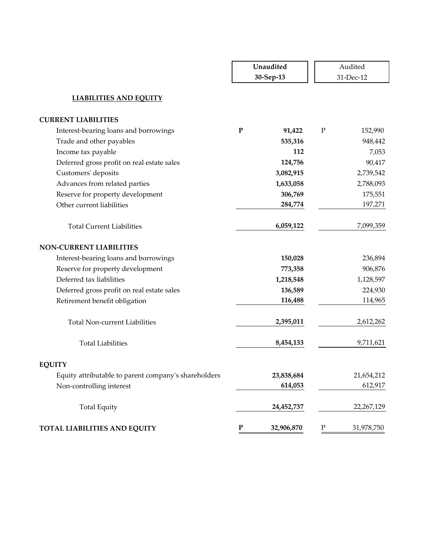|                                                      | Unaudited<br>30-Sep-13  | Audited<br>31-Dec-12    |
|------------------------------------------------------|-------------------------|-------------------------|
| <b>LIABILITIES AND EQUITY</b>                        |                         |                         |
| <b>CURRENT LIABILITIES</b>                           |                         |                         |
| Interest-bearing loans and borrowings                | ${\bf P}$<br>91,422     | $\mathbf P$<br>152,990  |
| Trade and other payables                             | 535,316                 | 948,442                 |
| Income tax payable                                   | 112                     | 7,053                   |
| Deferred gross profit on real estate sales           | 124,756                 | 90,417                  |
| Customers' deposits                                  | 3,082,915               | 2,739,542               |
| Advances from related parties                        | 1,633,058               | 2,788,093               |
| Reserve for property development                     | 306,769                 | 175,551                 |
| Other current liabilities                            | 284,774                 | 197,271                 |
| <b>Total Current Liabilities</b>                     | 6,059,122               | 7,099,359               |
| <b>NON-CURRENT LIABILITIES</b>                       |                         |                         |
| Interest-bearing loans and borrowings                | 150,028                 | 236,894                 |
| Reserve for property development                     | 773,358                 | 906,876                 |
| Deferred tax liabilities                             | 1,218,548               | 1,128,597               |
| Deferred gross profit on real estate sales           | 136,589                 | 224,930                 |
| Retirement benefit obligation                        | 116,488                 | 114,965                 |
| <b>Total Non-current Liabilities</b>                 | 2,395,011               | 2,612,262               |
| <b>Total Liabilities</b>                             | 8,454,133               | 9,711,621               |
| <b>EQUITY</b>                                        |                         |                         |
| Equity attributable to parent company's shareholders | 23,838,684              | 21,654,212              |
| Non-controlling interest                             | 614,053                 | 612,917                 |
| <b>Total Equity</b>                                  | 24,452,737              | 22,267,129              |
| TOTAL LIABILITIES AND EQUITY                         | ${\bf P}$<br>32,906,870 | ${\bf P}$<br>31,978,750 |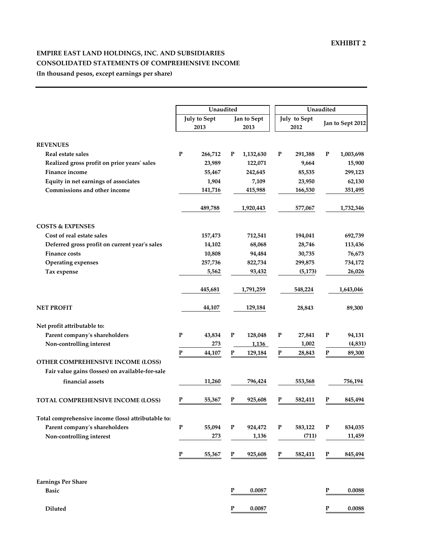## **EMPIRE EAST LAND HOLDINGS, INC. AND SUBSIDIARIES CONSOLIDATED STATEMENTS OF COMPREHENSIVE INCOME (In thousand pesos, except earnings per share)**

|                                                    |                                                    | Unaudited              | Unaudited            |                      |  |  |
|----------------------------------------------------|----------------------------------------------------|------------------------|----------------------|----------------------|--|--|
|                                                    | <b>July to Sept</b><br>Jan to Sept<br>2013<br>2013 |                        | July to Sept<br>2012 | Jan to Sept 2012     |  |  |
| <b>REVENUES</b>                                    |                                                    |                        |                      |                      |  |  |
| Real estate sales                                  | P<br>266,712                                       | P<br>1,132,630         | P<br>291,388         | P<br>1,003,698       |  |  |
| Realized gross profit on prior years' sales        | 23,989                                             | 122,071                | 9,664                | 15,900               |  |  |
| Finance income                                     | 55,467                                             | 242,645                | 85,535               | 299,123              |  |  |
| Equity in net earnings of associates               | 1,904                                              | 7,109                  | 23,950               | 62,130               |  |  |
| Commissions and other income                       | 141,716                                            | 415,988                | 166,530              | 351,495              |  |  |
|                                                    | 489,788                                            | 1,920,443              | 577,067              | 1,732,346            |  |  |
| <b>COSTS &amp; EXPENSES</b>                        |                                                    |                        |                      |                      |  |  |
| Cost of real estate sales                          | 157,473                                            | 712,541                | 194,041              | 692,739              |  |  |
| Deferred gross profit on current year's sales      | 14,102                                             | 68,068                 | 28,746               | 113,436              |  |  |
| <b>Finance costs</b>                               | 10,808                                             | 94,484                 | 30,735               | 76,673               |  |  |
| <b>Operating expenses</b>                          | 257,736                                            | 822,734                | 299,875              | 734,172              |  |  |
| Tax expense                                        | 5,562                                              | 93,432                 | (5, 173)             | 26,026               |  |  |
|                                                    | 445,681                                            | 1,791,259              | 548,224              | 1,643,046            |  |  |
| <b>NET PROFIT</b>                                  | 44,107                                             | 129,184                | 28,843               | 89,300               |  |  |
| Net profit attributable to:                        |                                                    |                        |                      |                      |  |  |
| Parent company's shareholders                      | P<br>43,834                                        | P<br>128,048           | P<br>27,841          | P<br>94,131          |  |  |
| Non-controlling interest                           | 273                                                | 1,136                  | 1,002                | (4, 831)             |  |  |
|                                                    | P<br>44,107                                        | $\mathbf P$<br>129,184 | P<br>28,843          | P<br>89,300          |  |  |
| OTHER COMPREHENSIVE INCOME (LOSS)                  |                                                    |                        |                      |                      |  |  |
| Fair value gains (losses) on available-for-sale    |                                                    |                        |                      |                      |  |  |
| financial assets                                   | 11,260                                             | 796,424                | 553,568              | 756,194              |  |  |
| <b>TOTAL COMPREHENSIVE INCOME (LOSS)</b>           | 55,367<br>Р                                        | P<br>925,608           | P<br>582,411         | P<br>845,494         |  |  |
| Total comprehensive income (loss) attributable to: |                                                    |                        |                      |                      |  |  |
| Parent company's shareholders                      | ${\bf P}$<br>55,094                                | $\mathbf P$<br>924,472 | ${\bf P}$<br>583,122 | ${\bf P}$<br>834,035 |  |  |
| Non-controlling interest                           | 273                                                | 1,136                  | (711)                | 11,459               |  |  |
|                                                    | P<br>55,367                                        | P<br>925,608           | P<br>582,411         | P<br>845,494         |  |  |
| <b>Earnings Per Share</b>                          |                                                    |                        |                      |                      |  |  |
| <b>Basic</b>                                       |                                                    | $\mathbf P$<br>0.0087  |                      | P<br>0.0088          |  |  |
| <b>Diluted</b>                                     |                                                    | ${\bf P}$<br>0.0087    |                      | ${\bf P}$<br>0.0088  |  |  |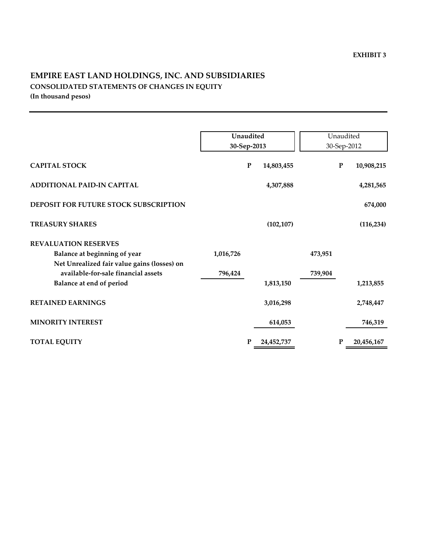## **EMPIRE EAST LAND HOLDINGS, INC. AND SUBSIDIARIES CONSOLIDATED STATEMENTS OF CHANGES IN EQUITY (In thousand pesos)**

|                                             | Unaudited<br>30-Sep-2013 |           | Unaudited<br>30-Sep-2012 |         |   |            |
|---------------------------------------------|--------------------------|-----------|--------------------------|---------|---|------------|
| <b>CAPITAL STOCK</b>                        |                          | ${\bf P}$ | 14,803,455               |         | P | 10,908,215 |
| <b>ADDITIONAL PAID-IN CAPITAL</b>           |                          |           | 4,307,888                |         |   | 4,281,565  |
| DEPOSIT FOR FUTURE STOCK SUBSCRIPTION       |                          |           |                          |         |   | 674,000    |
| <b>TREASURY SHARES</b>                      |                          |           | (102, 107)               |         |   | (116, 234) |
| <b>REVALUATION RESERVES</b>                 |                          |           |                          |         |   |            |
| Balance at beginning of year                | 1,016,726                |           |                          | 473,951 |   |            |
| Net Unrealized fair value gains (losses) on |                          |           |                          |         |   |            |
| available-for-sale financial assets         | 796,424                  |           |                          | 739,904 |   |            |
| Balance at end of period                    |                          |           | 1,813,150                |         |   | 1,213,855  |
| <b>RETAINED EARNINGS</b>                    |                          |           | 3,016,298                |         |   | 2,748,447  |
| <b>MINORITY INTEREST</b>                    |                          |           | 614,053                  |         |   | 746,319    |
| <b>TOTAL EQUITY</b>                         |                          | P         | 24,452,737               |         | P | 20,456,167 |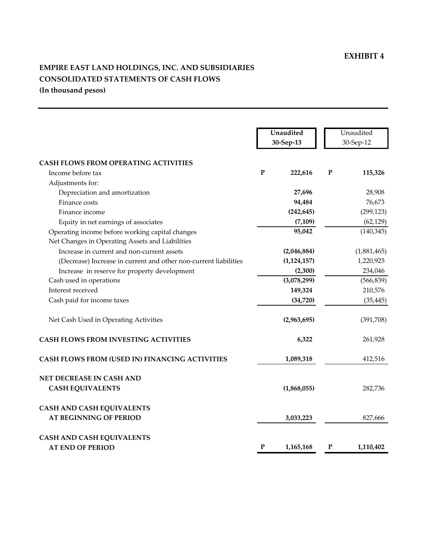# **EMPIRE EAST LAND HOLDINGS, INC. AND SUBSIDIARIES CONSOLIDATED STATEMENTS OF CASH FLOWS (In thousand pesos)**

|                                                                  |             | Unaudited<br>30-Sep-13 |             | Unaudited<br>30-Sep-12 |
|------------------------------------------------------------------|-------------|------------------------|-------------|------------------------|
| <b>CASH FLOWS FROM OPERATING ACTIVITIES</b>                      |             |                        |             |                        |
| Income before tax                                                | $\mathbf P$ | 222,616                | ${\bf P}$   | 115,326                |
| Adjustments for:                                                 |             |                        |             |                        |
| Depreciation and amortization                                    |             | 27,696                 |             | 28,908                 |
| Finance costs                                                    |             | 94,484                 |             | 76,673                 |
| Finance income                                                   |             | (242, 645)             |             | (299, 123)             |
| Equity in net earnings of associates                             |             | (7, 109)               |             | (62, 129)              |
| Operating income before working capital changes                  |             | 95,042                 |             | (140, 345)             |
| Net Changes in Operating Assets and Liabilities                  |             |                        |             |                        |
| Increase in current and non-current assets                       |             | (2,046,884)            |             | (1,881,465)            |
| (Decrease) Increase in current and other non-current liabilities |             | (1, 124, 157)          |             | 1,220,925              |
| Increase in reserve for property development                     |             | (2,300)                |             | 234,046                |
| Cash used in operations                                          |             | (3,078,299)            |             | (566, 839)             |
| Interest received                                                |             | 149,324                |             | 210,576                |
| Cash paid for income taxes                                       |             | (34, 720)              |             | (35, 445)              |
| Net Cash Used in Operating Activities                            |             | (2,963,695)            |             | (391,708)              |
| <b>CASH FLOWS FROM INVESTING ACTIVITIES</b>                      |             | 6,322                  |             | 261,928                |
| CASH FLOWS FROM (USED IN) FINANCING ACTIVITIES                   |             | 1,089,318              |             | 412,516                |
| NET DECREASE IN CASH AND                                         |             |                        |             |                        |
| <b>CASH EQUIVALENTS</b>                                          |             | (1,868,055)            |             | 282,736                |
| <b>CASH AND CASH EQUIVALENTS</b>                                 |             |                        |             |                        |
| <b>AT BEGINNING OF PERIOD</b>                                    |             | 3,033,223              |             | 827,666                |
| <b>CASH AND CASH EQUIVALENTS</b>                                 |             |                        |             |                        |
| <b>AT END OF PERIOD</b>                                          | P           | 1,165,168              | $\mathbf P$ | 1,110,402              |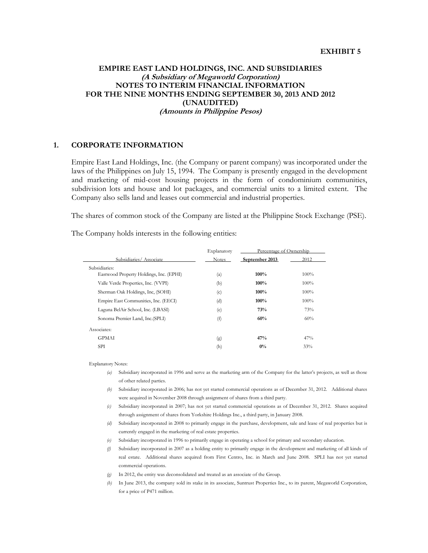## **EMPIRE EAST LAND HOLDINGS, INC. AND SUBSIDIARIES (A Subsidiary of Megaworld Corporation) NOTES TO INTERIM FINANCIAL INFORMATION FOR THE NINE MONTHS ENDING SEPTEMBER 30, 2013 AND 2012 (UNAUDITED) (Amounts in Philippine Pesos)**

### **1. CORPORATE INFORMATION**

 Empire East Land Holdings, Inc. (the Company or parent company) was incorporated under the laws of the Philippines on July 15, 1994. The Company is presently engaged in the development and marketing of mid-cost housing projects in the form of condominium communities, subdivision lots and house and lot packages, and commercial units to a limited extent. The Company also sells land and leases out commercial and industrial properties.

The shares of common stock of the Company are listed at the Philippine Stock Exchange (PSE).

The Company holds interests in the following entities:

|                                         | Explanatory  | Percentage of Ownership |      |
|-----------------------------------------|--------------|-------------------------|------|
| Subsidiaries/Associate                  | <b>Notes</b> | September 2013          | 2012 |
| Subsidiaries:                           |              |                         |      |
| Eastwood Property Holdings, Inc. (EPHI) | (a)          | 100%                    | 100% |
| Valle Verde Properties, Inc. (VVPI)     | (b)          | 100%                    | 100% |
| Sherman Oak Holdings, Inc, (SOHI)       | (c)          | 100%                    | 100% |
| Empire East Communities, Inc. (EECI)    | (d)          | 100%                    | 100% |
| Laguna BelAir School, Inc. (LBASI)      | (e)          | 73%                     | 73%  |
| Sonoma Premier Land, Inc. (SPLI)        | (f)          | 60%                     | 60%  |
| Associates:                             |              |                         |      |
| <b>GPMAI</b>                            | (g)          | 47%                     | 47%  |
| <b>SPI</b>                              | (h)          | $0\%$                   | 33%  |

Explanatory Notes:

- *(a)* Subsidiary incorporated in 1996 and serve as the marketing arm of the Company for the latter's projects, as well as those of other related parties.
- *(b)* Subsidiary incorporated in 2006; has not yet started commercial operations as of December 31, 2012. Additional shares were acquired in November 2008 through assignment of shares from a third party.
- *(c)* Subsidiary incorporated in 2007; has not yet started commercial operations as of December 31, 2012. Shares acquired through assignment of shares from Yorkshire Holdings Inc., a third party, in January 2008.
- *(d)* Subsidiary incorporated in 2008 to primarily engage in the purchase, development, sale and lease of real properties but is currently engaged in the marketing of real estate properties.
- *(e)* Subsidiary incorporated in 1996 to primarily engage in operating a school for primary and secondary education.
- *(f)* Subsidiary incorporated in 2007 as a holding entity to primarily engage in the development and marketing of all kinds of real estate. Additional shares acquired from First Centro, Inc. in March and June 2008. SPLI has not yet started commercial operations.
- *(g)* In 2012, the entity was deconsolidated and treated as an associate of the Group.
- *(h)* In June 2013, the company sold its stake in its associate, Suntrust Properties Inc., to its parent, Megaworld Corporation, for a price of P471 million.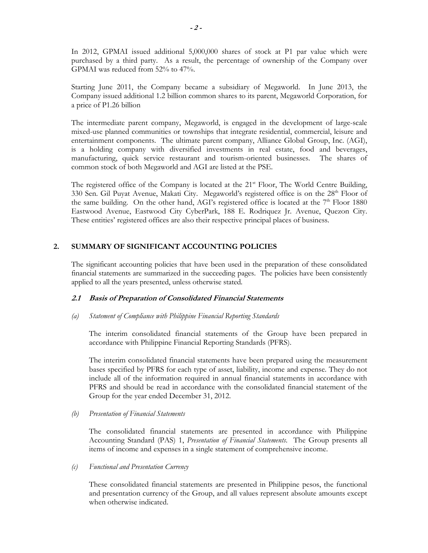In 2012, GPMAI issued additional 5,000,000 shares of stock at P1 par value which were purchased by a third party. As a result, the percentage of ownership of the Company over GPMAI was reduced from 52% to 47%.

Starting June 2011, the Company became a subsidiary of Megaworld. In June 2013, the Company issued additional 1.2 billion common shares to its parent, Megaworld Corporation, for a price of P1.26 billion

The intermediate parent company, Megaworld, is engaged in the development of large-scale mixed-use planned communities or townships that integrate residential, commercial, leisure and entertainment components. The ultimate parent company, Alliance Global Group, Inc. (AGI), is a holding company with diversified investments in real estate, food and beverages, manufacturing, quick service restaurant and tourism-oriented businesses. The shares of common stock of both Megaworld and AGI are listed at the PSE.

The registered office of the Company is located at the  $21<sup>st</sup>$  Floor, The World Centre Building, 330 Sen. Gil Puyat Avenue, Makati City. Megaworld's registered office is on the 28<sup>th</sup> Floor of the same building. On the other hand, AGI's registered office is located at the  $7<sup>th</sup>$  Floor 1880 Eastwood Avenue, Eastwood City CyberPark, 188 E. Rodriquez Jr. Avenue, Quezon City. These entities' registered offices are also their respective principal places of business.

### **2. SUMMARY OF SIGNIFICANT ACCOUNTING POLICIES**

The significant accounting policies that have been used in the preparation of these consolidated financial statements are summarized in the succeeding pages. The policies have been consistently applied to all the years presented, unless otherwise stated.

### **2.1 Basis of Preparation of Consolidated Financial Statements**

### *(a) Statement of Compliance with Philippine Financial Reporting Standards*

The interim consolidated financial statements of the Group have been prepared in accordance with Philippine Financial Reporting Standards (PFRS).

The interim consolidated financial statements have been prepared using the measurement bases specified by PFRS for each type of asset, liability, income and expense. They do not include all of the information required in annual financial statements in accordance with PFRS and should be read in accordance with the consolidated financial statement of the Group for the year ended December 31, 2012.

### *(b) Presentation of Financial Statements*

The consolidated financial statements are presented in accordance with Philippine Accounting Standard (PAS) 1, *Presentation of Financial Statements*. The Group presents all items of income and expenses in a single statement of comprehensive income.

### *(c) Functional and Presentation Currency*

These consolidated financial statements are presented in Philippine pesos, the functional and presentation currency of the Group, and all values represent absolute amounts except when otherwise indicated.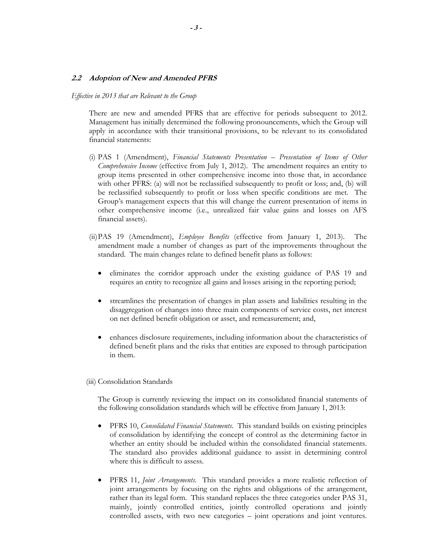### **2.2 Adoption of New and Amended PFRS**

#### *Effective in 2013 that are Relevant to the Group*

There are new and amended PFRS that are effective for periods subsequent to 2012. Management has initially determined the following pronouncements, which the Group will apply in accordance with their transitional provisions, to be relevant to its consolidated financial statements:

- (i) PAS 1 (Amendment), *Financial Statements Presentation Presentation of Items of Other Comprehensive Income* (effective from July 1, 2012). The amendment requires an entity to group items presented in other comprehensive income into those that, in accordance with other PFRS: (a) will not be reclassified subsequently to profit or loss; and, (b) will be reclassified subsequently to profit or loss when specific conditions are met. The Group's management expects that this will change the current presentation of items in other comprehensive income (i.e., unrealized fair value gains and losses on AFS financial assets).
- (ii)PAS 19 (Amendment), *Employee Benefits* (effective from January 1, 2013). The amendment made a number of changes as part of the improvements throughout the standard. The main changes relate to defined benefit plans as follows:
	- eliminates the corridor approach under the existing guidance of PAS 19 and requires an entity to recognize all gains and losses arising in the reporting period;
	- streamlines the presentation of changes in plan assets and liabilities resulting in the disaggregation of changes into three main components of service costs, net interest on net defined benefit obligation or asset, and remeasurement; and,
	- enhances disclosure requirements, including information about the characteristics of defined benefit plans and the risks that entities are exposed to through participation in them.

### (iii) Consolidation Standards

The Group is currently reviewing the impact on its consolidated financial statements of the following consolidation standards which will be effective from January 1, 2013:

- PFRS 10, *Consolidated Financial Statements*. This standard builds on existing principles of consolidation by identifying the concept of control as the determining factor in whether an entity should be included within the consolidated financial statements. The standard also provides additional guidance to assist in determining control where this is difficult to assess.
- PFRS 11, *Joint Arrangements.* This standard provides a more realistic reflection of joint arrangements by focusing on the rights and obligations of the arrangement, rather than its legal form. This standard replaces the three categories under PAS 31, mainly, jointly controlled entities, jointly controlled operations and jointly controlled assets, with two new categories – joint operations and joint ventures.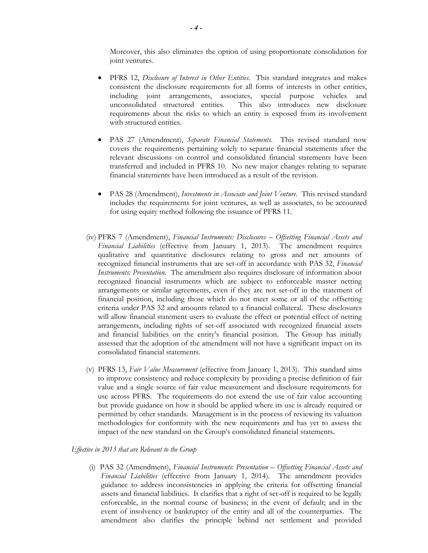Moreover, this also eliminates the option of using proportionate consolidation for joint ventures.

- PFRS 12, *Disclosure of Interest in Other Entities*. This standard integrates and makes consistent the disclosure requirements for all forms of interests in other entities, including joint arrangements, associates, special purpose vehicles and unconsolidated structured entities. This also introduces new disclosure requirements about the risks to which an entity is exposed from its involvement with structured entities.
- PAS 27 (Amendment), *Separate Financial Statements*. This revised standard now covers the requirements pertaining solely to separate financial statements after the relevant discussions on control and consolidated financial statements have been transferred and included in PFRS 10. No new major changes relating to separate financial statements have been introduced as a result of the revision.
- PAS 28 (Amendment), *Investments in Associate and Joint Venture*. This revised standard includes the requirements for joint ventures, as well as associates, to be accounted for using equity method following the issuance of PFRS 11.
- (iv) PFRS 7 (Amendment), *Financial Instruments: Disclosures Offsetting Financial Assets and Financial Liabilities* (effective from January 1, 2013). The amendment requires qualitative and quantitative disclosures relating to gross and net amounts of recognized financial instruments that are set-off in accordance with PAS 32, *Financial Instruments: Presentation*. The amendment also requires disclosure of information about recognized financial instruments which are subject to enforceable master netting arrangements or similar agreements, even if they are not set-off in the statement of financial position, including those which do not meet some or all of the offsetting criteria under PAS 32 and amounts related to a financial collateral. These disclosures will allow financial statement users to evaluate the effect or potential effect of netting arrangements, including rights of set-off associated with recognized financial assets and financial liabilities on the entity's financial position. The Group has initially assessed that the adoption of the amendment will not have a significant impact on its consolidated financial statements.
- (v) PFRS 13, *Fair Value Measurement* (effective from January 1, 2013). This standard aims to improve consistency and reduce complexity by providing a precise definition of fair value and a single source of fair value measurement and disclosure requirements for use across PFRS. The requirements do not extend the use of fair value accounting but provide guidance on how it should be applied where its use is already required or permitted by other standards. Management is in the process of reviewing its valuation methodologies for conformity with the new requirements and has yet to assess the impact of the new standard on the Group's consolidated financial statements.

### *Effective in 2013 that are Relevant to the Group*

(i) PAS 32 (Amendment), *Financial Instruments: Presentation – Offsetting Financial Assets and Financial Liabilities* (effective from January 1, 2014). The amendment provides guidance to address inconsistencies in applying the criteria for offsetting financial assets and financial liabilities. It clarifies that a right of set-off is required to be legally enforceable, in the normal course of business; in the event of default; and in the event of insolvency or bankruptcy of the entity and all of the counterparties. The amendment also clarifies the principle behind net settlement and provided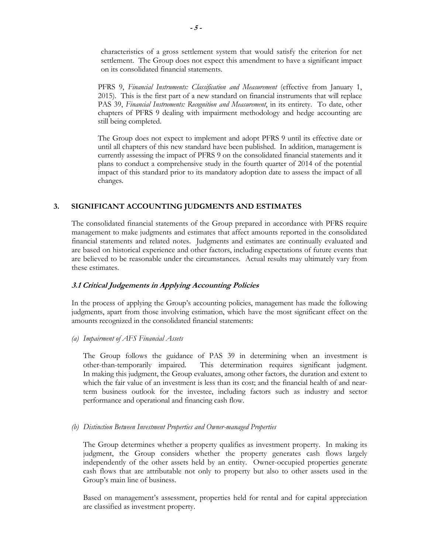characteristics of a gross settlement system that would satisfy the criterion for net settlement. The Group does not expect this amendment to have a significant impact on its consolidated financial statements.

PFRS 9, *Financial Instruments: Classification and Measurement* (effective from January 1, 2015). This is the first part of a new standard on financial instruments that will replace PAS 39, *Financial Instruments: Recognition and Measurement*, in its entirety. To date, other chapters of PFRS 9 dealing with impairment methodology and hedge accounting are still being completed.

The Group does not expect to implement and adopt PFRS 9 until its effective date or until all chapters of this new standard have been published. In addition, management is currently assessing the impact of PFRS 9 on the consolidated financial statements and it plans to conduct a comprehensive study in the fourth quarter of 2014 of the potential impact of this standard prior to its mandatory adoption date to assess the impact of all changes.

## **3. SIGNIFICANT ACCOUNTING JUDGMENTS AND ESTIMATES**

The consolidated financial statements of the Group prepared in accordance with PFRS require management to make judgments and estimates that affect amounts reported in the consolidated financial statements and related notes. Judgments and estimates are continually evaluated and are based on historical experience and other factors, including expectations of future events that are believed to be reasonable under the circumstances. Actual results may ultimately vary from these estimates.

## **3.1 Critical Judgements in Applying Accounting Policies**

In the process of applying the Group's accounting policies, management has made the following judgments, apart from those involving estimation, which have the most significant effect on the amounts recognized in the consolidated financial statements:

*(a) Impairment of AFS Financial Assets* 

The Group follows the guidance of PAS 39 in determining when an investment is other-than-temporarily impaired. This determination requires significant judgment. In making this judgment, the Group evaluates, among other factors, the duration and extent to which the fair value of an investment is less than its cost; and the financial health of and nearterm business outlook for the investee, including factors such as industry and sector performance and operational and financing cash flow.

*(b) Distinction Between Investment Properties and Owner-managed Properties* 

The Group determines whether a property qualifies as investment property. In making its judgment, the Group considers whether the property generates cash flows largely independently of the other assets held by an entity. Owner-occupied properties generate cash flows that are attributable not only to property but also to other assets used in the Group's main line of business.

Based on management's assessment, properties held for rental and for capital appreciation are classified as investment property.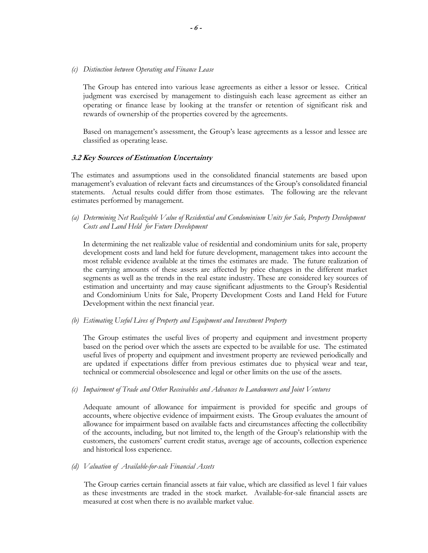*(c) Distinction between Operating and Finance Lease* 

The Group has entered into various lease agreements as either a lessor or lessee. Critical judgment was exercised by management to distinguish each lease agreement as either an operating or finance lease by looking at the transfer or retention of significant risk and rewards of ownership of the properties covered by the agreements.

Based on management's assessment, the Group's lease agreements as a lessor and lessee are classified as operating lease.

### **3.2 Key Sources of Estimation Uncertainty**

The estimates and assumptions used in the consolidated financial statements are based upon management's evaluation of relevant facts and circumstances of the Group's consolidated financial statements. Actual results could differ from those estimates. The following are the relevant estimates performed by management.

*(a) Determining Net Realizable Value of Residential and Condominium Units for Sale, Property Development Costs and Land Held for Future Development* 

In determining the net realizable value of residential and condominium units for sale, property development costs and land held for future development, management takes into account the most reliable evidence available at the times the estimates are made. The future realization of the carrying amounts of these assets are affected by price changes in the different market segments as well as the trends in the real estate industry. These are considered key sources of estimation and uncertainty and may cause significant adjustments to the Group's Residential and Condominium Units for Sale, Property Development Costs and Land Held for Future Development within the next financial year.

*(b) Estimating Useful Lives of Property and Equipment and Investment Property* 

The Group estimates the useful lives of property and equipment and investment property based on the period over which the assets are expected to be available for use. The estimated useful lives of property and equipment and investment property are reviewed periodically and are updated if expectations differ from previous estimates due to physical wear and tear, technical or commercial obsolescence and legal or other limits on the use of the assets.

*(c) Impairment of Trade and Other Receivables and Advances to Landowners and Joint Ventures* 

Adequate amount of allowance for impairment is provided for specific and groups of accounts, where objective evidence of impairment exists. The Group evaluates the amount of allowance for impairment based on available facts and circumstances affecting the collectibility of the accounts, including, but not limited to, the length of the Group's relationship with the customers, the customers' current credit status, average age of accounts, collection experience and historical loss experience.

*(d) Valuation of Available-for-sale Financial Assets* 

The Group carries certain financial assets at fair value, which are classified as level 1 fair values as these investments are traded in the stock market. Available-for-sale financial assets are measured at cost when there is no available market value.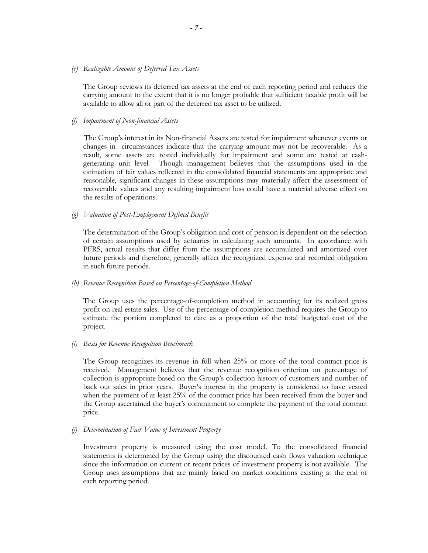### *(e) Realizable Amount of Deferred Tax Assets*

The Group reviews its deferred tax assets at the end of each reporting period and reduces the carrying amount to the extent that it is no longer probable that sufficient taxable profit will be available to allow all or part of the deferred tax asset to be utilized.

### *(f) Impairment of Non-financial Assets*

 The Group's interest in its Non-financial Assets are tested for impairment whenever events or changes in circumstances indicate that the carrying amount may not be recoverable. As a result, some assets are tested individually for impairment and some are tested at cashgenerating unit level. Though management believes that the assumptions used in the estimation of fair values reflected in the consolidated financial statements are appropriate and reasonable, significant changes in these assumptions may materially affect the assessment of recoverable values and any resulting impairment loss could have a material adverse effect on the results of operations.

### *(g) Valuation of Post-Employment Defined Benefit*

The determination of the Group's obligation and cost of pension is dependent on the selection of certain assumptions used by actuaries in calculating such amounts. In accordance with PFRS, actual results that differ from the assumptions are accumulated and amortized over future periods and therefore, generally affect the recognized expense and recorded obligation in such future periods.

### *(h) Revenue Recognition Based on Percentage-of-Completion Method*

The Group uses the percentage-of-completion method in accounting for its realized gross profit on real estate sales. Use of the percentage-of-completion method requires the Group to estimate the portion completed to date as a proportion of the total budgeted cost of the project.

### *(i) Basis for Revenue Recognition Benchmark*

The Group recognizes its revenue in full when 25% or more of the total contract price is received. Management believes that the revenue recognition criterion on percentage of collection is appropriate based on the Group's collection history of customers and number of back out sales in prior years. Buyer's interest in the property is considered to have vested when the payment of at least 25% of the contract price has been received from the buyer and the Group ascertained the buyer's commitment to complete the payment of the total contract price.

### *(j) Determination of Fair Value of Investment Property*

Investment property is measured using the cost model. To the consolidated financial statements is determined by the Group using the discounted cash flows valuation technique since the information on current or recent prices of investment property is not available. The Group uses assumptions that are mainly based on market conditions existing at the end of each reporting period.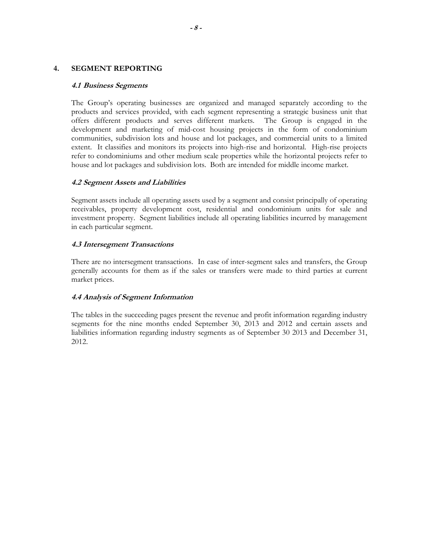### **4. SEGMENT REPORTING**

### **4.1 Business Segments**

The Group's operating businesses are organized and managed separately according to the products and services provided, with each segment representing a strategic business unit that offers different products and serves different markets. The Group is engaged in the development and marketing of mid-cost housing projects in the form of condominium communities, subdivision lots and house and lot packages, and commercial units to a limited extent. It classifies and monitors its projects into high-rise and horizontal. High-rise projects refer to condominiums and other medium scale properties while the horizontal projects refer to house and lot packages and subdivision lots. Both are intended for middle income market.

## **4.2 Segment Assets and Liabilities**

 Segment assets include all operating assets used by a segment and consist principally of operating receivables, property development cost, residential and condominium units for sale and investment property. Segment liabilities include all operating liabilities incurred by management in each particular segment.

### **4.3 Intersegment Transactions**

 There are no intersegment transactions. In case of inter-segment sales and transfers, the Group generally accounts for them as if the sales or transfers were made to third parties at current market prices.

## **4.4 Analysis of Segment Information**

 The tables in the succeeding pages present the revenue and profit information regarding industry segments for the nine months ended September 30, 2013 and 2012 and certain assets and liabilities information regarding industry segments as of September 30 2013 and December 31, 2012.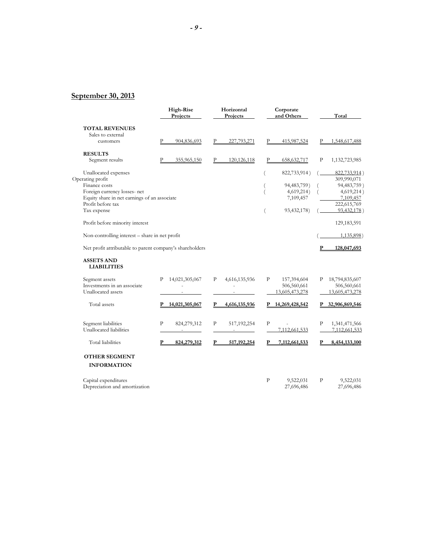## **September 30, 2013**

| 904,836,693<br>355,965,150                               | Р | 227,793,271   | P            |               |                                  |                |
|----------------------------------------------------------|---|---------------|--------------|---------------|----------------------------------|----------------|
|                                                          |   |               |              |               |                                  |                |
|                                                          |   |               |              |               |                                  |                |
|                                                          |   |               |              | 415,987,524   | Р                                | 1,548,617,488  |
|                                                          |   |               |              |               |                                  |                |
|                                                          | P | 120, 126, 118 | P            | 658,632,717   | P                                | 1,132,723,985  |
|                                                          |   |               |              | 822,733,914)  |                                  | 822,733,914)   |
|                                                          |   |               |              |               |                                  | 309,990,071    |
|                                                          |   |               |              | 94,483,759)   |                                  | 94,483,759)    |
|                                                          |   |               |              | 4,619,214)    |                                  | 4,619,214)     |
| Equity share in net earnings of an associate             |   |               |              | 7,109,457     |                                  | 7,109,457      |
|                                                          |   |               |              |               |                                  | 222,615,769    |
|                                                          |   |               |              | 93,432,178)   |                                  | 93,432,178)    |
|                                                          |   |               |              |               |                                  | 129, 183, 591  |
| Non-controlling interest - share in net profit           |   |               |              |               |                                  | $1,135,898$ )  |
| Net profit attributable to parent company's shareholders |   |               |              |               |                                  | 128,047,693    |
|                                                          |   |               |              |               |                                  |                |
| 14,021,305,067                                           | P | 4,616,135,936 | P            | 157,394,604   | Ρ                                | 18,794,835,607 |
|                                                          |   |               |              | 506,560,661   |                                  | 506,560,661    |
|                                                          |   |               |              |               |                                  | 13,605,473,278 |
| 14,021,305,067                                           | P | 4,616,135,936 |              |               |                                  | 32,906,869,546 |
| 824,279,312                                              | P | 517,192,254   | P            |               | P                                | 1,341,471,566  |
|                                                          |   | $\sim$        |              | 7,112,661,533 |                                  | 7,112,661,533  |
| 824,279,312                                              | P | 517, 192, 254 | P            | 7,112,661,533 | P                                | 8,454,133,100  |
|                                                          |   |               |              |               |                                  |                |
|                                                          |   |               |              |               |                                  |                |
|                                                          |   |               |              |               |                                  |                |
|                                                          |   |               | $\mathbf{P}$ | 9,522,031     | P                                | 9,522,031      |
|                                                          |   |               |              |               | 13,605,473,278<br>14,269,428,542 |                |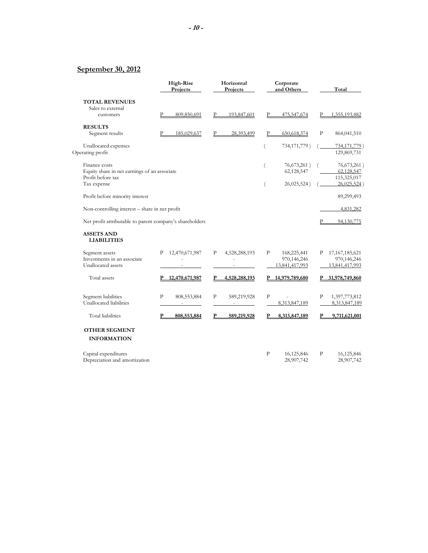## **September 30, 2012**

|                                                          | High-Rise<br>Projects         | Horizontal<br>Projects | Corporate<br>and Others     | Total                      |
|----------------------------------------------------------|-------------------------------|------------------------|-----------------------------|----------------------------|
| <b>TOTAL REVENUES</b>                                    |                               |                        |                             |                            |
| Sales to external                                        |                               |                        |                             |                            |
| customers                                                | P<br>809,850,691              | 193,847,601            | Р<br>475,547,674            | P<br>1,355,193,482         |
| <b>RESULTS</b>                                           |                               |                        |                             |                            |
| Segment results                                          | 185,029,637                   | 28,393,499             | $\mathbf{P}$<br>650,618,374 | P<br>864,041,510           |
| Unallocated expenses                                     |                               |                        | 734,171,779)                | 734,171,779)               |
| Operating profit                                         |                               |                        |                             | 129,869,731                |
| Finance costs                                            |                               |                        | 76,673,261)<br>(            | 76,673,261)                |
| Equity share in net earnings of an associate             |                               |                        | 62,128,547                  | 62,128,547                 |
| Profit before tax<br>Tax expense                         |                               |                        | 26,025,524)                 | 115,325,017<br>26,025,524) |
|                                                          |                               |                        |                             |                            |
| Profit before minority interest                          |                               |                        |                             | 89,299,493                 |
| Non-controlling interest - share in net profit           |                               |                        |                             | 4,831,282                  |
| Net profit attributable to parent company's shareholders |                               |                        |                             | Р<br>94,130,775            |
| <b>ASSETS AND</b><br><b>LIABILITIES</b>                  |                               |                        |                             |                            |
| Segment assets                                           | 12,470,671,987<br>P           | P<br>4,528,288,193     | P<br>168,225,441            | 17, 167, 185, 621<br>Р     |
| Investments in an associate                              |                               |                        | 970,146,246                 | 970,146,246                |
| Unallocated assets                                       |                               |                        | 13,841,417,993              | 13,841,417,993             |
| Total assets                                             | 12,470,671,987<br>P           | 4,528,288,193<br>P     | P 14,979,789,680            | 31,978,749,860             |
| Segment liabilities                                      | $\mathbf{p}$<br>808, 553, 884 | P<br>589,219,928       | P                           | P<br>1,397,773,812         |
| Unallocated liabilities                                  | $\sim$ 100 $\mu$              | $\sim$                 | 8,313,847,189               | 8,313,847,189              |
| <b>Total liabilities</b>                                 | P<br>808,553,884              | 589,219,928<br>P       | 8,313,847,189<br>P          | 9,711,621,001<br>P         |
| <b>OTHER SEGMENT</b>                                     |                               |                        |                             |                            |
| <b>INFORMATION</b>                                       |                               |                        |                             |                            |
| Capital expenditures                                     |                               |                        | P<br>16,125,846             | P<br>16,125,846            |
| Depreciation and amortization                            |                               |                        | 28,907,742                  | 28,907,742                 |
|                                                          |                               |                        |                             |                            |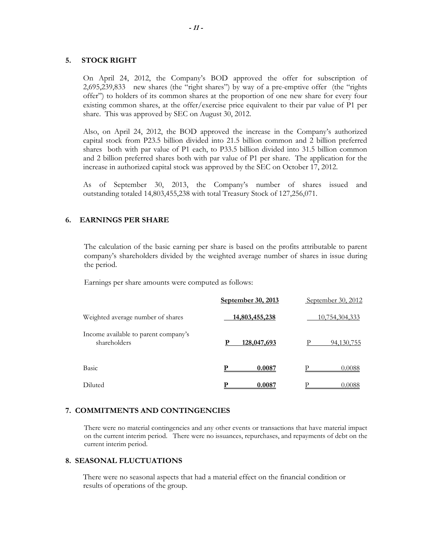### **5. STOCK RIGHT**

On April 24, 2012, the Company's BOD approved the offer for subscription of 2,695,239,833 new shares (the "right shares") by way of a pre-emptive offer (the "rights offer") to holders of its common shares at the proportion of one new share for every four existing common shares, at the offer/exercise price equivalent to their par value of P1 per share. This was approved by SEC on August 30, 2012.

Also, on April 24, 2012, the BOD approved the increase in the Company's authorized capital stock from P23.5 billion divided into 21.5 billion common and 2 billion preferred shares both with par value of P1 each, to P33.5 billion divided into 31.5 billion common and 2 billion preferred shares both with par value of P1 per share. The application for the increase in authorized capital stock was approved by the SEC on October 17, 2012.

As of September 30, 2013, the Company's number of shares issued and outstanding totaled 14,803,455,238 with total Treasury Stock of 127,256,071.

### **6. EARNINGS PER SHARE**

The calculation of the basic earning per share is based on the profits attributable to parent company's shareholders divided by the weighted average number of shares in issue during the period.

Earnings per share amounts were computed as follows:

|                                                      | September 30, 2013 | September 30, 2012 |
|------------------------------------------------------|--------------------|--------------------|
| Weighted average number of shares                    | 14,803,455,238     | 10,754,304,333     |
| Income available to parent company's<br>shareholders | 128,047,693<br>P   | р<br>94, 130, 755  |
| Basic                                                | 0.0087             | 0.0088             |
| Diluted                                              | 0.0087             | 0.0088             |

### **7. COMMITMENTS AND CONTINGENCIES**

There were no material contingencies and any other events or transactions that have material impact on the current interim period. There were no issuances, repurchases, and repayments of debt on the current interim period.

### **8. SEASONAL FLUCTUATIONS**

There were no seasonal aspects that had a material effect on the financial condition or results of operations of the group.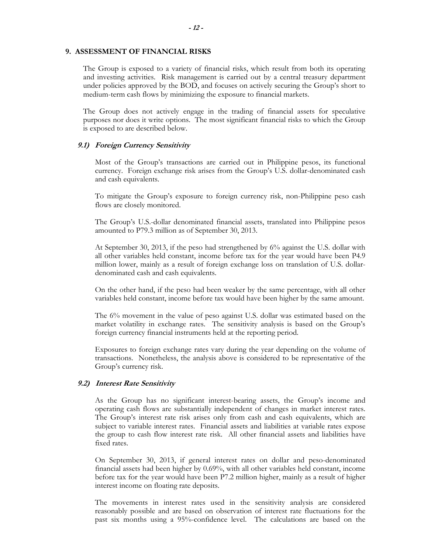### **9. ASSESSMENT OF FINANCIAL RISKS**

The Group is exposed to a variety of financial risks, which result from both its operating and investing activities. Risk management is carried out by a central treasury department under policies approved by the BOD, and focuses on actively securing the Group's short to medium-term cash flows by minimizing the exposure to financial markets.

The Group does not actively engage in the trading of financial assets for speculative purposes nor does it write options. The most significant financial risks to which the Group is exposed to are described below.

### **9.1) Foreign Currency Sensitivity**

Most of the Group's transactions are carried out in Philippine pesos, its functional currency. Foreign exchange risk arises from the Group's U.S. dollar-denominated cash and cash equivalents.

To mitigate the Group's exposure to foreign currency risk, non-Philippine peso cash flows are closely monitored.

The Group's U.S.-dollar denominated financial assets, translated into Philippine pesos amounted to P79.3 million as of September 30, 2013.

At September 30, 2013, if the peso had strengthened by 6% against the U.S. dollar with all other variables held constant, income before tax for the year would have been P4.9 million lower, mainly as a result of foreign exchange loss on translation of U.S. dollardenominated cash and cash equivalents.

On the other hand, if the peso had been weaker by the same percentage, with all other variables held constant, income before tax would have been higher by the same amount.

The 6% movement in the value of peso against U.S. dollar was estimated based on the market volatility in exchange rates. The sensitivity analysis is based on the Group's foreign currency financial instruments held at the reporting period.

Exposures to foreign exchange rates vary during the year depending on the volume of transactions. Nonetheless, the analysis above is considered to be representative of the Group's currency risk.

### **9.2) Interest Rate Sensitivity**

As the Group has no significant interest-bearing assets, the Group's income and operating cash flows are substantially independent of changes in market interest rates. The Group's interest rate risk arises only from cash and cash equivalents, which are subject to variable interest rates. Financial assets and liabilities at variable rates expose the group to cash flow interest rate risk. All other financial assets and liabilities have fixed rates.

On September 30, 2013, if general interest rates on dollar and peso-denominated financial assets had been higher by 0.69%, with all other variables held constant, income before tax for the year would have been P7.2 million higher, mainly as a result of higher interest income on floating rate deposits.

The movements in interest rates used in the sensitivity analysis are considered reasonably possible and are based on observation of interest rate fluctuations for the past six months using a 95%-confidence level. The calculations are based on the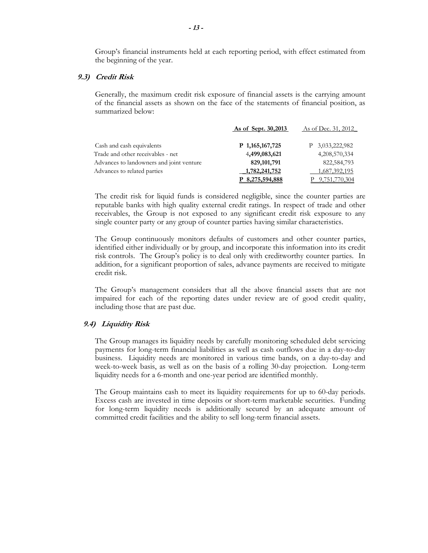Group's financial instruments held at each reporting period, with effect estimated from the beginning of the year.

### **9.3) Credit Risk**

Generally, the maximum credit risk exposure of financial assets is the carrying amount of the financial assets as shown on the face of the statements of financial position, as summarized below:

|                                          | As of Sept. 30,2013 | As of Dec. 31, 2012 |
|------------------------------------------|---------------------|---------------------|
| Cash and cash equivalents                | P 1,165,167,725     | P 3,033,222,982     |
| Trade and other receivables - net        | 4,499,083,621       | 4,208,570,334       |
| Advances to landowners and joint venture | 829, 101, 791       | 822,584,793         |
| Advances to related parties              | 1,782,241,752       | 1,687,392,195       |
|                                          | P 8,275,594,888     | 9,751,770,304       |

The credit risk for liquid funds is considered negligible, since the counter parties are reputable banks with high quality external credit ratings. In respect of trade and other receivables, the Group is not exposed to any significant credit risk exposure to any single counter party or any group of counter parties having similar characteristics.

The Group continuously monitors defaults of customers and other counter parties, identified either individually or by group, and incorporate this information into its credit risk controls. The Group's policy is to deal only with creditworthy counter parties. In addition, for a significant proportion of sales, advance payments are received to mitigate credit risk.

The Group's management considers that all the above financial assets that are not impaired for each of the reporting dates under review are of good credit quality, including those that are past due.

### **9.4) Liquidity Risk**

The Group manages its liquidity needs by carefully monitoring scheduled debt servicing payments for long-term financial liabilities as well as cash outflows due in a day-to-day business. Liquidity needs are monitored in various time bands, on a day-to-day and week-to-week basis, as well as on the basis of a rolling 30-day projection. Long-term liquidity needs for a 6-month and one-year period are identified monthly.

The Group maintains cash to meet its liquidity requirements for up to 60-day periods. Excess cash are invested in time deposits or short-term marketable securities. Funding for long-term liquidity needs is additionally secured by an adequate amount of committed credit facilities and the ability to sell long-term financial assets.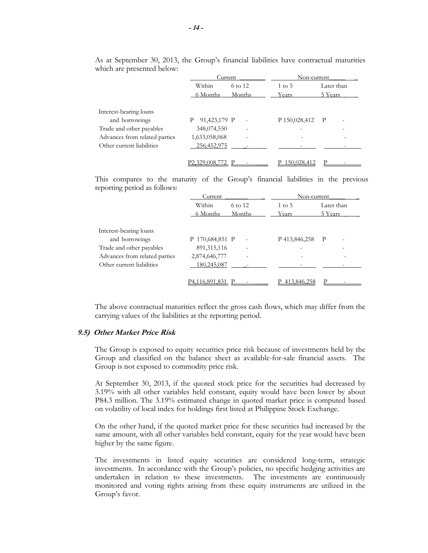|                               | Current           |                          | Non-current       |              |  |  |
|-------------------------------|-------------------|--------------------------|-------------------|--------------|--|--|
|                               | Within            | 6 to 12                  | $1 \text{ to } 5$ | Later than   |  |  |
|                               | 6 Months          | Months                   | Years             | 5 Years      |  |  |
| Interest-bearing loans        |                   |                          |                   |              |  |  |
| and borrowings                | 91,423,179 P<br>P |                          | P 150,028,412     | $\mathbf{P}$ |  |  |
| Trade and other payables      | 348,074,550       | $\overline{\phantom{a}}$ |                   |              |  |  |
| Advances from related parties | 1,633,058,068     |                          |                   |              |  |  |
| Other current liabilities     | 256,452,975       |                          |                   |              |  |  |
|                               |                   |                          |                   |              |  |  |
|                               | P2,329,008,772    |                          | 150,028,412       | D            |  |  |

As at September 30, 2013, the Group's financial liabilities have contractual maturities which are presented below:

This compares to the maturity of the Group's financial liabilities in the previous reporting period as follows:

|                               | Current          |                          | Non-current       |            |
|-------------------------------|------------------|--------------------------|-------------------|------------|
|                               | Within           | 6 to 12                  | $1 \text{ to } 5$ | Later than |
|                               | 6 Months         | Months                   | Years             | 5 Years    |
| Interest-bearing loans        |                  |                          |                   |            |
| and borrowings                | P 170,684,851 P  | $\overline{\phantom{a}}$ | P 413,846,258     | P<br>-     |
| Trade and other payables      | 891, 315, 116    | $\overline{\phantom{a}}$ |                   |            |
| Advances from related parties | 2,874,646,777    | -                        |                   |            |
| Other current liabilities     | 180,245,087      |                          |                   |            |
|                               | P4.116.891.831 P |                          | 413,846,258       |            |

The above contractual maturities reflect the gross cash flows, which may differ from the carrying values of the liabilities at the reporting period.

## **9.5) Other Market Price Risk**

The Group is exposed to equity securities price risk because of investments held by the Group and classified on the balance sheet as available-for-sale financial assets. The Group is not exposed to commodity price risk.

At September 30, 2013, if the quoted stock price for the securities had decreased by 3.19% with all other variables held constant, equity would have been lower by about P84.3 million. The 3.19% estimated change in quoted market price is computed based on volatility of local index for holdings first listed at Philippine Stock Exchange.

On the other hand, if the quoted market price for these securities had increased by the same amount, with all other variables held constant, equity for the year would have been higher by the same figure.

The investments in listed equity securities are considered long-term, strategic investments. In accordance with the Group's policies, no specific hedging activities are undertaken in relation to these investments. The investments are continuously monitored and voting rights arising from these equity instruments are utilized in the Group's favor.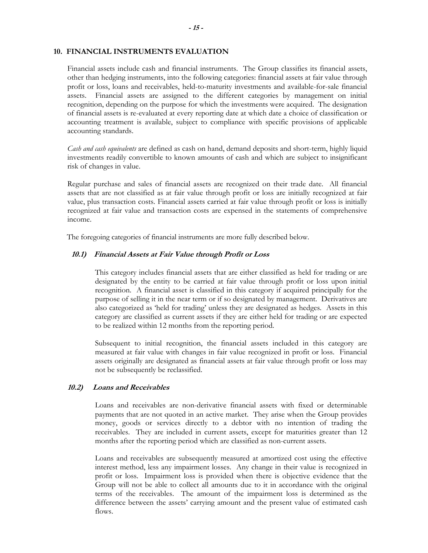### **10. FINANCIAL INSTRUMENTS EVALUATION**

Financial assets include cash and financial instruments. The Group classifies its financial assets, other than hedging instruments, into the following categories: financial assets at fair value through profit or loss, loans and receivables, held-to-maturity investments and available-for-sale financial assets. Financial assets are assigned to the different categories by management on initial recognition, depending on the purpose for which the investments were acquired. The designation of financial assets is re-evaluated at every reporting date at which date a choice of classification or accounting treatment is available, subject to compliance with specific provisions of applicable accounting standards.

*Cash and cash equivalents* are defined as cash on hand, demand deposits and short-term, highly liquid investments readily convertible to known amounts of cash and which are subject to insignificant risk of changes in value.

Regular purchase and sales of financial assets are recognized on their trade date. All financial assets that are not classified as at fair value through profit or loss are initially recognized at fair value, plus transaction costs. Financial assets carried at fair value through profit or loss is initially recognized at fair value and transaction costs are expensed in the statements of comprehensive income.

The foregoing categories of financial instruments are more fully described below.

### **10.1) Financial Assets at Fair Value through Profit or Loss**

 This category includes financial assets that are either classified as held for trading or are designated by the entity to be carried at fair value through profit or loss upon initial recognition. A financial asset is classified in this category if acquired principally for the purpose of selling it in the near term or if so designated by management. Derivatives are also categorized as 'held for trading' unless they are designated as hedges. Assets in this category are classified as current assets if they are either held for trading or are expected to be realized within 12 months from the reporting period.

 Subsequent to initial recognition, the financial assets included in this category are measured at fair value with changes in fair value recognized in profit or loss. Financial assets originally are designated as financial assets at fair value through profit or loss may not be subsequently be reclassified.

### **10.2) Loans and Receivables**

Loans and receivables are non-derivative financial assets with fixed or determinable payments that are not quoted in an active market. They arise when the Group provides money, goods or services directly to a debtor with no intention of trading the receivables. They are included in current assets, except for maturities greater than 12 months after the reporting period which are classified as non-current assets.

 Loans and receivables are subsequently measured at amortized cost using the effective interest method, less any impairment losses. Any change in their value is recognized in profit or loss. Impairment loss is provided when there is objective evidence that the Group will not be able to collect all amounts due to it in accordance with the original terms of the receivables. The amount of the impairment loss is determined as the difference between the assets' carrying amount and the present value of estimated cash flows.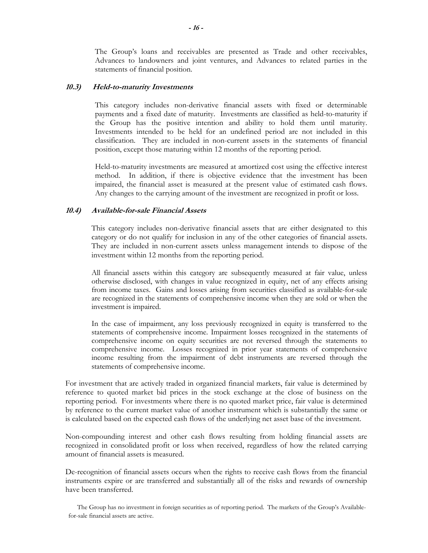The Group's loans and receivables are presented as Trade and other receivables, Advances to landowners and joint ventures, and Advances to related parties in the statements of financial position.

### **10.3) Held-to-maturity Investments**

This category includes non-derivative financial assets with fixed or determinable payments and a fixed date of maturity. Investments are classified as held-to-maturity if the Group has the positive intention and ability to hold them until maturity. Investments intended to be held for an undefined period are not included in this classification. They are included in non-current assets in the statements of financial position, except those maturing within 12 months of the reporting period.

 Held-to-maturity investments are measured at amortized cost using the effective interest method. In addition, if there is objective evidence that the investment has been impaired, the financial asset is measured at the present value of estimated cash flows. Any changes to the carrying amount of the investment are recognized in profit or loss.

### **10.4) Available-for-sale Financial Assets**

This category includes non-derivative financial assets that are either designated to this category or do not qualify for inclusion in any of the other categories of financial assets. They are included in non-current assets unless management intends to dispose of the investment within 12 months from the reporting period.

 All financial assets within this category are subsequently measured at fair value, unless otherwise disclosed, with changes in value recognized in equity, net of any effects arising from income taxes. Gains and losses arising from securities classified as available-for-sale are recognized in the statements of comprehensive income when they are sold or when the investment is impaired.

 In the case of impairment, any loss previously recognized in equity is transferred to the statements of comprehensive income. Impairment losses recognized in the statements of comprehensive income on equity securities are not reversed through the statements to comprehensive income. Losses recognized in prior year statements of comprehensive income resulting from the impairment of debt instruments are reversed through the statements of comprehensive income.

For investment that are actively traded in organized financial markets, fair value is determined by reference to quoted market bid prices in the stock exchange at the close of business on the reporting period. For investments where there is no quoted market price, fair value is determined by reference to the current market value of another instrument which is substantially the same or is calculated based on the expected cash flows of the underlying net asset base of the investment.

Non-compounding interest and other cash flows resulting from holding financial assets are recognized in consolidated profit or loss when received, regardless of how the related carrying amount of financial assets is measured.

De-recognition of financial assets occurs when the rights to receive cash flows from the financial instruments expire or are transferred and substantially all of the risks and rewards of ownership have been transferred.

The Group has no investment in foreign securities as of reporting period. The markets of the Group's Availablefor-sale financial assets are active.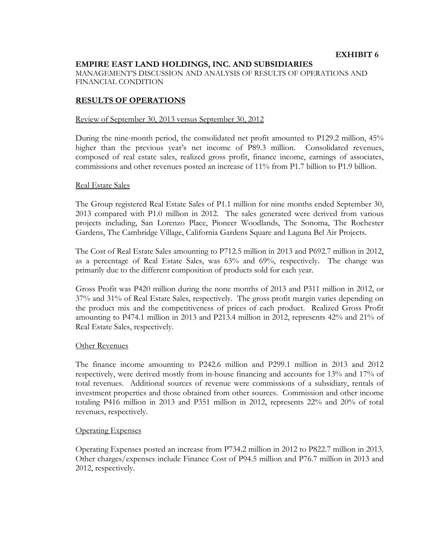## **EMPIRE EAST LAND HOLDINGS, INC. AND SUBSIDIARIES**

MANAGEMENT'S DISCUSSION AND ANALYSIS OF RESULTS OF OPERATIONS AND FINANCIAL CONDITION

### **RESULTS OF OPERATIONS**

### Review of September 30, 2013 versus September 30, 2012

During the nine-month period, the consolidated net profit amounted to P129.2 million, 45% higher than the previous year's net income of P89.3 million. Consolidated revenues, composed of real estate sales, realized gross profit, finance income, earnings of associates, commissions and other revenues posted an increase of 11% from P1.7 billion to P1.9 billion.

### Real Estate Sales

The Group registered Real Estate Sales of P1.1 million for nine months ended September 30, 2013 compared with P1.0 million in 2012. The sales generated were derived from various projects including, San Lorenzo Place, Pioneer Woodlands, The Sonoma, The Rochester Gardens, The Cambridge Village, California Gardens Square and Laguna Bel Air Projects.

The Cost of Real Estate Sales amounting to P712.5 million in 2013 and P692.7 million in 2012, as a percentage of Real Estate Sales, was 63% and 69%, respectively. The change was primarily due to the different composition of products sold for each year.

Gross Profit was P420 million during the none months of 2013 and P311 million in 2012, or 37% and 31% of Real Estate Sales, respectively. The gross profit margin varies depending on the product mix and the competitiveness of prices of each product. Realized Gross Profit amounting to P474.1 million in 2013 and P213.4 million in 2012, represents 42% and 21% of Real Estate Sales, respectively.

### Other Revenues

The finance income amounting to P242.6 million and P299.1 million in 2013 and 2012 respectively, were derived mostly from in-house financing and accounts for 13% and 17% of total revenues. Additional sources of revenue were commissions of a subsidiary, rentals of investment properties and those obtained from other sources. Commission and other income totaling P416 million in 2013 and P351 million in 2012, represents 22% and 20% of total revenues, respectively.

### Operating Expenses

Operating Expenses posted an increase from P734.2 million in 2012 to P822.7 million in 2013. Other charges/expenses include Finance Cost of P94.5 million and P76.7 million in 2013 and 2012, respectively.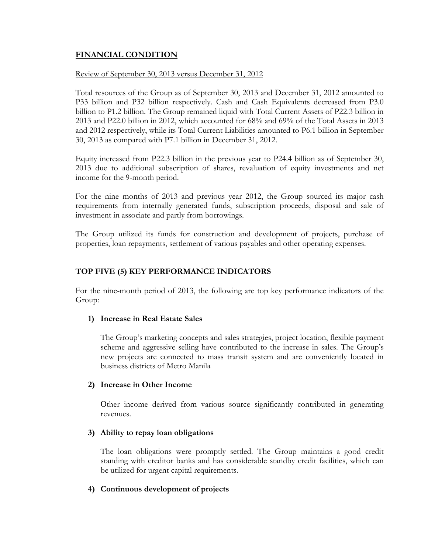## **FINANCIAL CONDITION**

## Review of September 30, 2013 versus December 31, 2012

Total resources of the Group as of September 30, 2013 and December 31, 2012 amounted to P33 billion and P32 billion respectively. Cash and Cash Equivalents decreased from P3.0 billion to P1.2 billion. The Group remained liquid with Total Current Assets of P22.3 billion in 2013 and P22.0 billion in 2012, which accounted for 68% and 69% of the Total Assets in 2013 and 2012 respectively, while its Total Current Liabilities amounted to P6.1 billion in September 30, 2013 as compared with P7.1 billion in December 31, 2012.

Equity increased from P22.3 billion in the previous year to P24.4 billion as of September 30, 2013 due to additional subscription of shares, revaluation of equity investments and net income for the 9-month period.

For the nine months of 2013 and previous year 2012, the Group sourced its major cash requirements from internally generated funds, subscription proceeds, disposal and sale of investment in associate and partly from borrowings.

The Group utilized its funds for construction and development of projects, purchase of properties, loan repayments, settlement of various payables and other operating expenses.

## **TOP FIVE (5) KEY PERFORMANCE INDICATORS**

For the nine-month period of 2013, the following are top key performance indicators of the Group:

## **1) Increase in Real Estate Sales**

The Group's marketing concepts and sales strategies, project location, flexible payment scheme and aggressive selling have contributed to the increase in sales. The Group's new projects are connected to mass transit system and are conveniently located in business districts of Metro Manila

## **2) Increase in Other Income**

Other income derived from various source significantly contributed in generating revenues.

## **3) Ability to repay loan obligations**

The loan obligations were promptly settled. The Group maintains a good credit standing with creditor banks and has considerable standby credit facilities, which can be utilized for urgent capital requirements.

## **4) Continuous development of projects**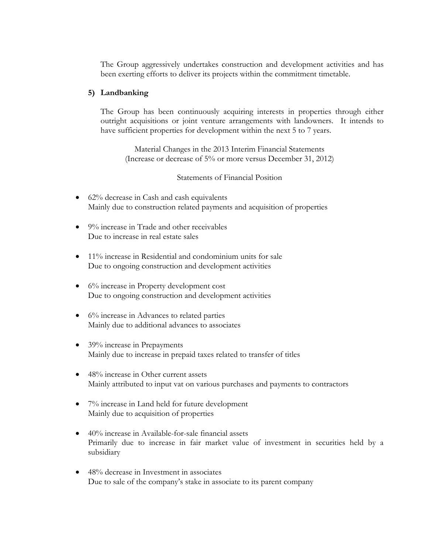The Group aggressively undertakes construction and development activities and has been exerting efforts to deliver its projects within the commitment timetable.

## **5) Landbanking**

The Group has been continuously acquiring interests in properties through either outright acquisitions or joint venture arrangements with landowners. It intends to have sufficient properties for development within the next 5 to 7 years.

Material Changes in the 2013 Interim Financial Statements (Increase or decrease of 5% or more versus December 31, 2012)

Statements of Financial Position

- 62% decrease in Cash and cash equivalents Mainly due to construction related payments and acquisition of properties
- 9% increase in Trade and other receivables Due to increase in real estate sales
- 11% increase in Residential and condominium units for sale Due to ongoing construction and development activities
- 6% increase in Property development cost Due to ongoing construction and development activities
- 6% increase in Advances to related parties Mainly due to additional advances to associates
- 39% increase in Prepayments Mainly due to increase in prepaid taxes related to transfer of titles
- 48% increase in Other current assets Mainly attributed to input vat on various purchases and payments to contractors
- 7% increase in Land held for future development Mainly due to acquisition of properties
- 40% increase in Available-for-sale financial assets Primarily due to increase in fair market value of investment in securities held by a subsidiary
- 48% decrease in Investment in associates Due to sale of the company's stake in associate to its parent company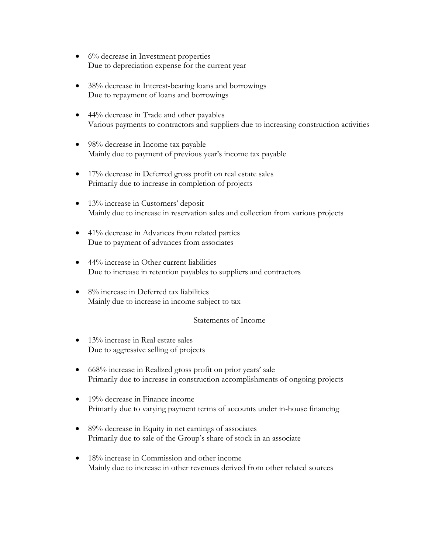- $\bullet$  6% decrease in Investment properties Due to depreciation expense for the current year
- 38% decrease in Interest-bearing loans and borrowings Due to repayment of loans and borrowings
- 44% decrease in Trade and other payables Various payments to contractors and suppliers due to increasing construction activities
- 98% decrease in Income tax payable Mainly due to payment of previous year's income tax payable
- 17% decrease in Deferred gross profit on real estate sales Primarily due to increase in completion of projects
- 13% increase in Customers' deposit Mainly due to increase in reservation sales and collection from various projects
- 41% decrease in Advances from related parties Due to payment of advances from associates
- 44% increase in Other current liabilities Due to increase in retention payables to suppliers and contractors
- 8% increase in Deferred tax liabilities Mainly due to increase in income subject to tax

## Statements of Income

- 13% increase in Real estate sales Due to aggressive selling of projects
- 668% increase in Realized gross profit on prior years' sale Primarily due to increase in construction accomplishments of ongoing projects
- 19% decrease in Finance income Primarily due to varying payment terms of accounts under in-house financing
- 89% decrease in Equity in net earnings of associates Primarily due to sale of the Group's share of stock in an associate
- 18% increase in Commission and other income Mainly due to increase in other revenues derived from other related sources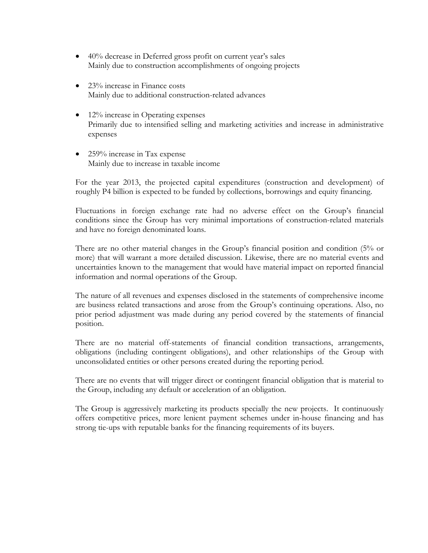- 40% decrease in Deferred gross profit on current year's sales Mainly due to construction accomplishments of ongoing projects
- 23% increase in Finance costs Mainly due to additional construction-related advances
- $\bullet$  12% increase in Operating expenses Primarily due to intensified selling and marketing activities and increase in administrative expenses
- 259% increase in Tax expense Mainly due to increase in taxable income

For the year 2013, the projected capital expenditures (construction and development) of roughly P4 billion is expected to be funded by collections, borrowings and equity financing.

Fluctuations in foreign exchange rate had no adverse effect on the Group's financial conditions since the Group has very minimal importations of construction-related materials and have no foreign denominated loans.

There are no other material changes in the Group's financial position and condition (5% or more) that will warrant a more detailed discussion. Likewise, there are no material events and uncertainties known to the management that would have material impact on reported financial information and normal operations of the Group.

The nature of all revenues and expenses disclosed in the statements of comprehensive income are business related transactions and arose from the Group's continuing operations. Also, no prior period adjustment was made during any period covered by the statements of financial position.

There are no material off-statements of financial condition transactions, arrangements, obligations (including contingent obligations), and other relationships of the Group with unconsolidated entities or other persons created during the reporting period.

There are no events that will trigger direct or contingent financial obligation that is material to the Group, including any default or acceleration of an obligation.

The Group is aggressively marketing its products specially the new projects. It continuously offers competitive prices, more lenient payment schemes under in-house financing and has strong tie-ups with reputable banks for the financing requirements of its buyers.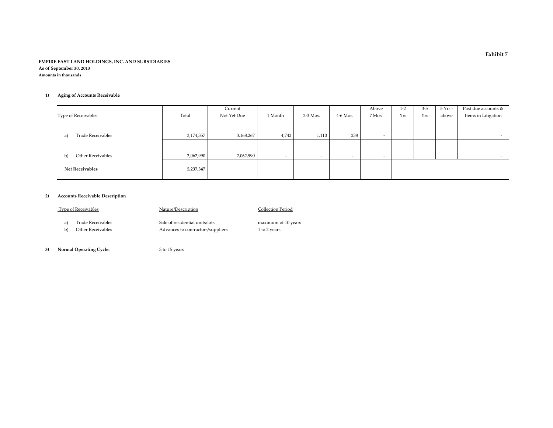#### **EMPIRE EAST LAND HOLDINGS, INC. AND SUBSIDIARIES As of September 30, 2013 Amounts in thousands**

#### **1) Aging of Accounts Receivable**

|                         |           | Current     |                          |            |            | Above                    | $1 - 2$ | $3 - 5$ | $5$ Yrs - | Past due accounts & |
|-------------------------|-----------|-------------|--------------------------|------------|------------|--------------------------|---------|---------|-----------|---------------------|
| Type of Receivables     | Total     | Not Yet Due | 1 Month                  | $2-3$ Mos. | $4-6$ Mos. | 7 Mos.                   | Yrs     | Yrs     | above     | Items in Litigation |
|                         |           |             |                          |            |            |                          |         |         |           |                     |
|                         |           |             |                          |            |            |                          |         |         |           |                     |
| Trade Receivables<br>a) | 3,174,357 | 3,168,267   | 4,742                    | 1,110      | 238        | $\overline{\phantom{a}}$ |         |         |           | $\sim$              |
|                         |           |             |                          |            |            |                          |         |         |           |                     |
|                         |           |             |                          |            |            |                          |         |         |           |                     |
| Other Receivables<br>b) | 2,062,990 | 2,062,990   | $\overline{\phantom{a}}$ | $\sim$     | $\sim$     | $\sim$                   |         |         |           | $-$                 |
|                         |           |             |                          |            |            |                          |         |         |           |                     |
| <b>Net Receivables</b>  | 5,237,347 |             |                          |            |            |                          |         |         |           |                     |
|                         |           |             |                          |            |            |                          |         |         |           |                     |

#### **2) Accounts Receivable Description**

| <b>Type of Receivables</b> |                                        | Nature/Description                                                  | <b>Collection Period</b>            |  |  |
|----------------------------|----------------------------------------|---------------------------------------------------------------------|-------------------------------------|--|--|
| a)<br>b)                   | Trade Receivables<br>Other Receivables | Sale of residential units/lots<br>Advances to contractors/suppliers | maximum of 10 years<br>1 to 2 years |  |  |
|                            |                                        |                                                                     |                                     |  |  |

**3) Normal Operating Cycle:** <sup>3</sup> to 15 years